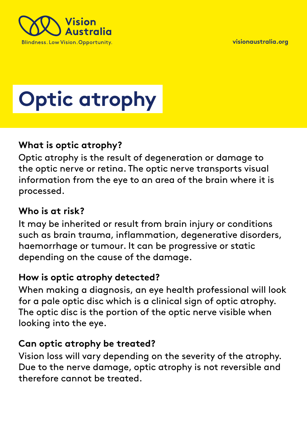**[visionaustralia.org](http://www.visionaustralia.org/)** 



# **Optic atrophy**

### **What is optic atrophy?**

Optic atrophy is the result of degeneration or damage to the optic nerve or retina. The optic nerve transports visual information from the eye to an area of the brain where it is processed.

## **Who is at risk?**

It may be inherited or result from brain injury or conditions such as brain trauma, inflammation, degenerative disorders, haemorrhage or tumour. It can be progressive or static depending on the cause of the damage.

#### **How is optic atrophy detected?**

When making a diagnosis, an eye health professional will look for a pale optic disc which is a clinical sign of optic atrophy. The optic disc is the portion of the optic nerve visible when looking into the eye.

#### **Can optic atrophy be treated?**

Vision loss will vary depending on the severity of the atrophy. Due to the nerve damage, optic atrophy is not reversible and therefore cannot be treated.